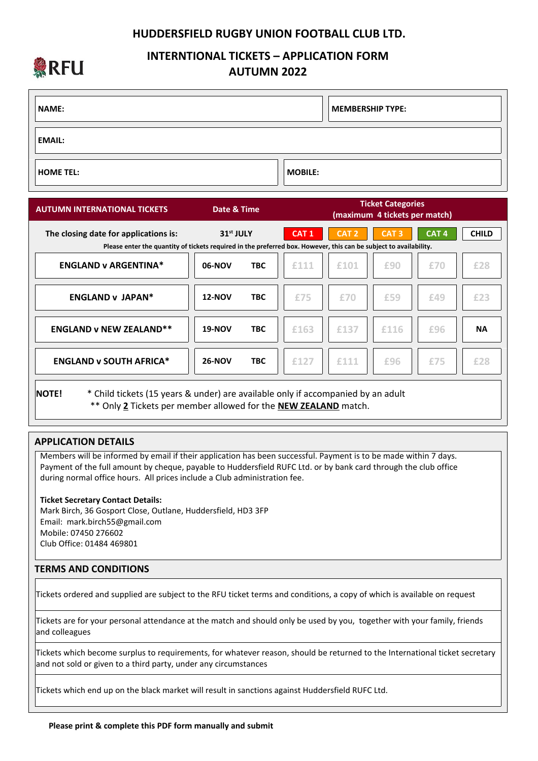## **HUDDERSFIELD RUGBY UNION FOOTBALL CLUB LTD.**



# **INTERNTIONAL TICKETS – APPLICATION FORM AUTUMN 2022**

| <b>NAME:</b>     |                | MEMBERSHIP TYPE: |
|------------------|----------------|------------------|
| <b>EMAIL:</b>    |                |                  |
| <b>HOME TEL:</b> | <b>MOBILE:</b> |                  |

| <b>AUTUMN INTERNATIONAL TICKETS</b>   | Date & Time                                                                                                                                |            | <b>Ticket Categories</b><br>(maximum 4 tickets per match) |                  |                  |                  |              |  |
|---------------------------------------|--------------------------------------------------------------------------------------------------------------------------------------------|------------|-----------------------------------------------------------|------------------|------------------|------------------|--------------|--|
| The closing date for applications is: | 31 <sup>st</sup> JULY<br>Please enter the quantity of tickets required in the preferred box. However, this can be subject to availability. |            | CAT <sub>1</sub>                                          | CAT <sub>2</sub> | CAT <sub>3</sub> | CAT <sub>4</sub> | <b>CHILD</b> |  |
| <b>ENGLAND v ARGENTINA*</b>           | 06-NOV                                                                                                                                     | <b>TBC</b> | £111                                                      | £101             | £90              | £70              | £28          |  |
| <b>ENGLAND v JAPAN*</b>               | <b>12-NOV</b>                                                                                                                              | <b>TBC</b> | £75                                                       | £70              | £59              | £49              | £23          |  |
| <b>ENGLAND v NEW ZEALAND**</b>        | <b>19-NOV</b>                                                                                                                              | <b>TBC</b> | £163                                                      | £137             | £116             | £96              | <b>NA</b>    |  |
| <b>ENGLAND v SOUTH AFRICA*</b>        | <b>26-NOV</b>                                                                                                                              | <b>TBC</b> | £127                                                      | £111             | £96              | £75              | £28          |  |
|                                       |                                                                                                                                            |            |                                                           |                  |                  |                  |              |  |

**NOTE!** \* Child tickets (15 years & under) are available only if accompanied by an adult \*\* Only **2** Tickets per member allowed for the **NEW ZEALAND** match.

# **APPLICATION DETAILS**

 Members will be informed by email if their application has been successful. Payment is to be made within 7 days. Payment of the full amount by cheque, payable to Huddersfield RUFC Ltd. or by bank card through the club office during normal office hours. All prices include a Club administration fee.

#### **Ticket Secretary Contact Details:**

 Mark Birch, 36 Gosport Close, Outlane, Huddersfield, HD3 3FP Email: mark.birch55@gmail.com Mobile: 07450 276602 Club Office: 01484 469801

## **TERMS AND CONDITIONS**

Tickets ordered and supplied are subject to the RFU ticket terms and conditions, a copy of which is available on request

Tickets are for your personal attendance at the match and should only be used by you, together with your family, friends and colleagues

Tickets which become surplus to requirements, for whatever reason, should be returned to the International ticket secretary and not sold or given to a third party, under any circumstances

Tickets which end up on the black market will result in sanctions against Huddersfield RUFC Ltd.